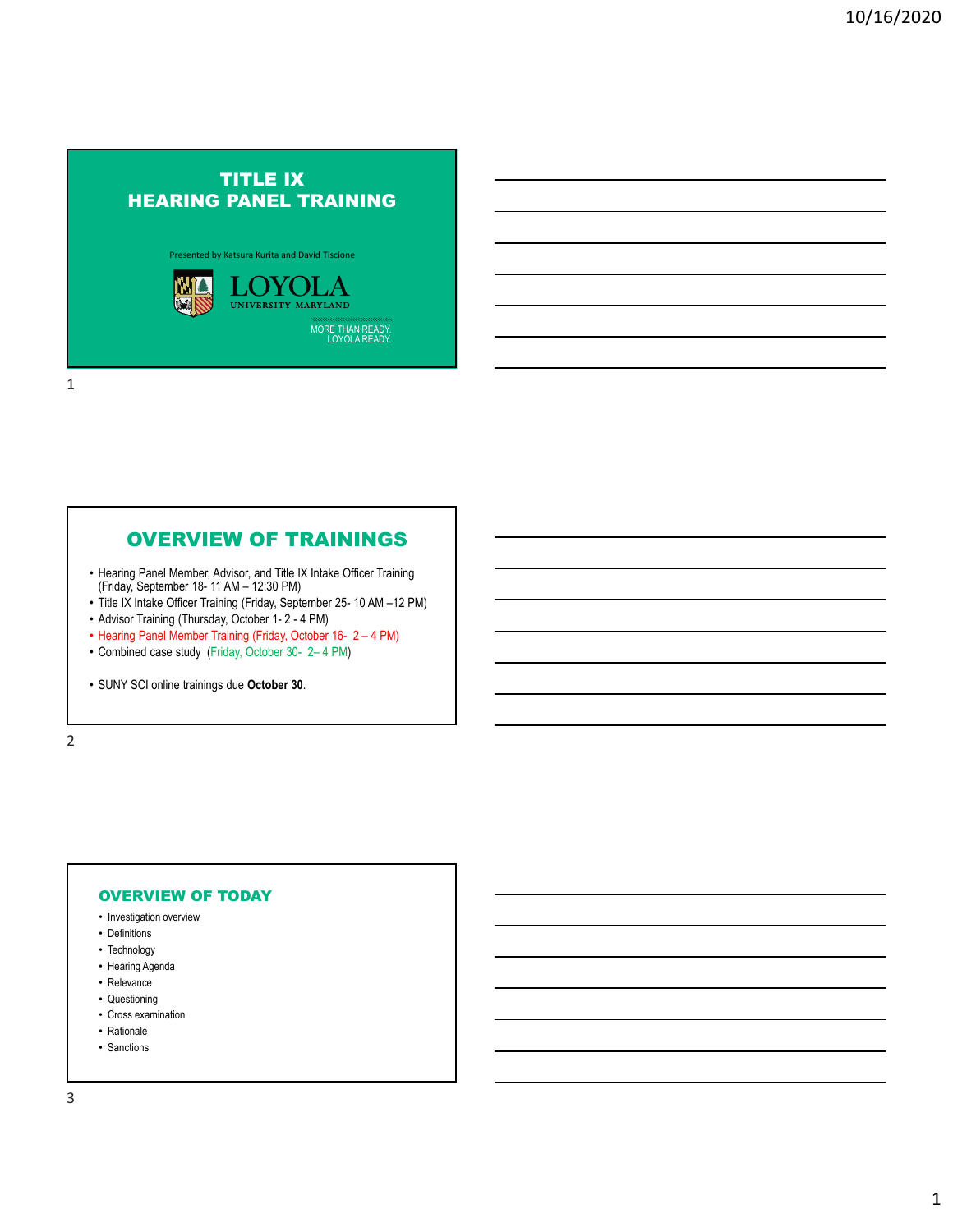# TITLE IX HEARING PANEL TRAINING

Presented by Katsura Kurita and David Tiscione



1

# OVERVIEW OF TRAININGS

- Hearing Panel Member, Advisor, and Title IX Intake Officer Training (Friday, September 18- 11 AM 12:30 PM)
- Title IX Intake Officer Training (Friday, September 25- 10 AM –12 PM)
- Advisor Training (Thursday, October 1- 2 4 PM)
- Hearing Panel Member Training (Friday, October 16- 2 4 PM)
- Combined case study (Friday, October 30- 2– 4 PM)
- SUNY SCI online trainings due **October 30**.

2

# OVERVIEW OF TODAY

- Investigation overview
- Definitions
- Technology
- Hearing Agenda
- Relevance
- Questioning
- Cross examination
- Rationale
- Sanctions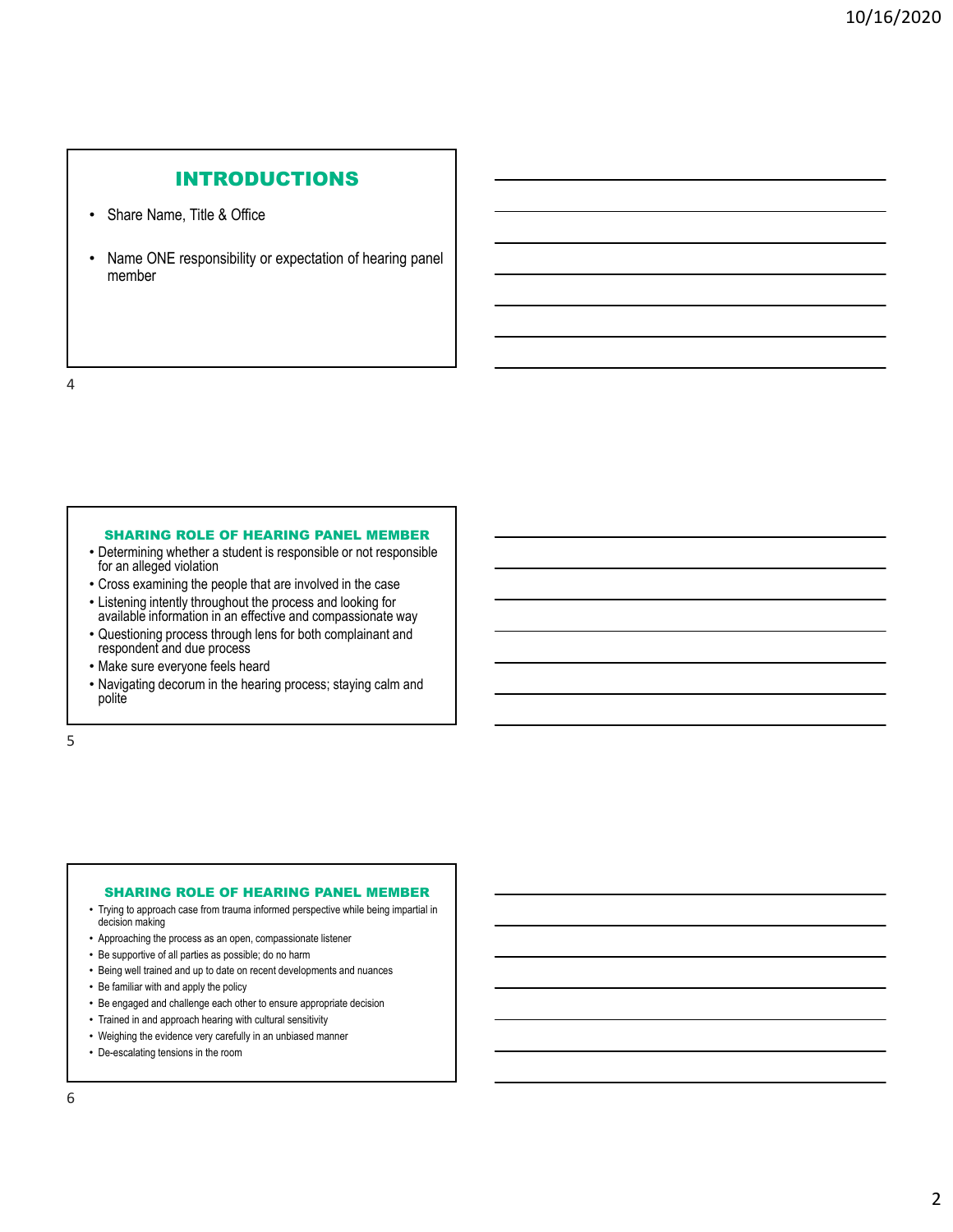# INTRODUCTIONS

- Share Name, Title & Office
- Name ONE responsibility or expectation of hearing panel member

4

#### SHARING ROLE OF HEARING PANEL MEMBER

- Determining whether a student is responsible or not responsible for an alleged violation
- Cross examining the people that are involved in the case
- Listening intently throughout the process and looking for available information in an effective and compassionate way
- Questioning process through lens for both complainant and respondent and due process
- Make sure everyone feels heard
- Navigating decorum in the hearing process; staying calm and polite

5

# SHARING ROLE OF HEARING PANEL MEMBER

- Trying to approach case from trauma informed perspective while being impartial in decision making
- Approaching the process as an open, compassionate listener
- Be supportive of all parties as possible; do no harm
- Being well trained and up to date on recent developments and nuances
- Be familiar with and apply the policy
- Be engaged and challenge each other to ensure appropriate decision
- Trained in and approach hearing with cultural sensitivity
- Weighing the evidence very carefully in an unbiased manner
- De-escalating tensions in the room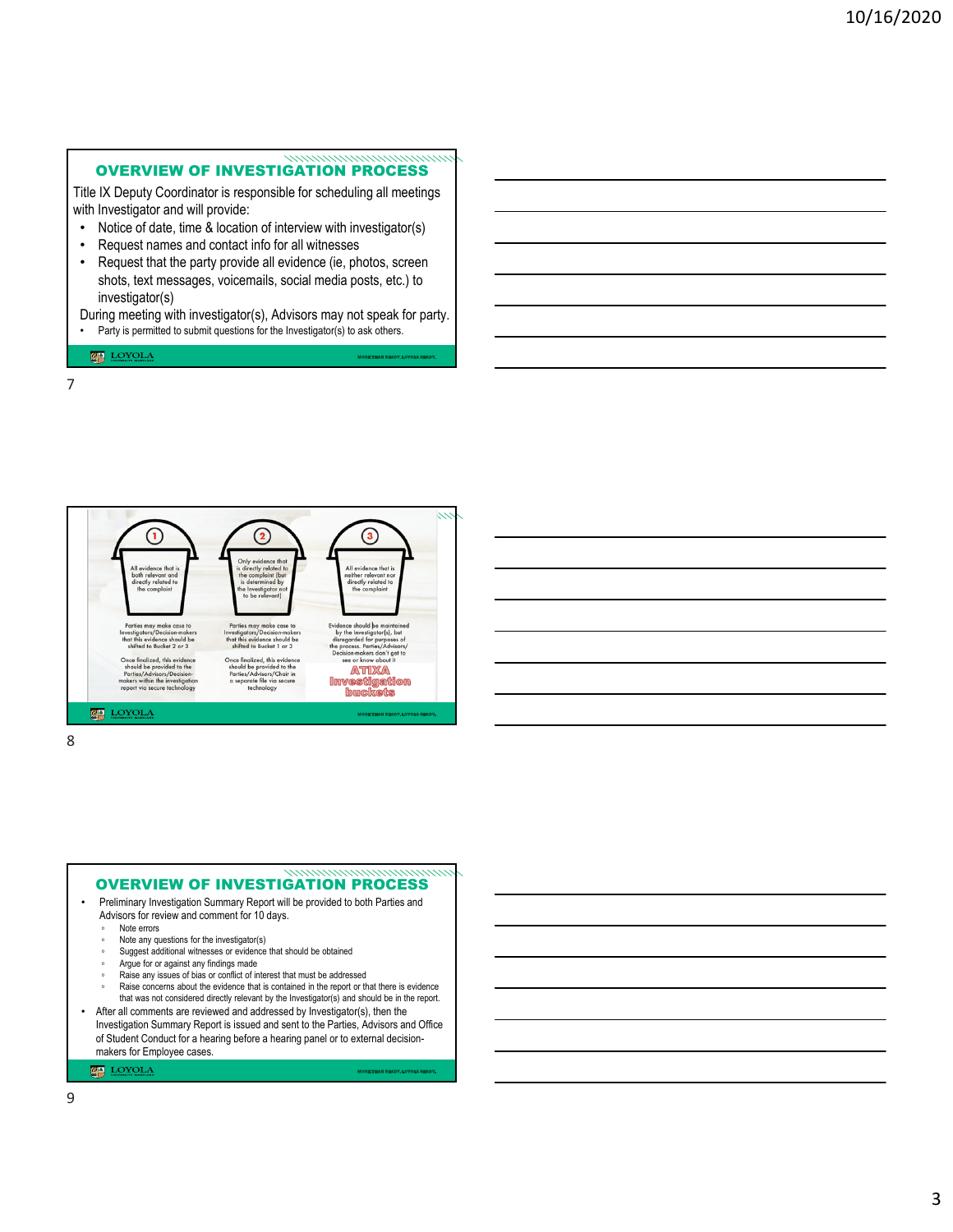#### OVERVIEW OF INVESTIGATION PROCESS

Title IX Deputy Coordinator is responsible for scheduling all meetings with Investigator and will provide:

- Notice of date, time & location of interview with investigator(s)
- Request names and contact info for all witnesses
- Request that the party provide all evidence (ie, photos, screen shots, text messages, voicemails, social media posts, etc.) to investigator(s)
- During meeting with investigator(s), Advisors may not speak for party. • Party is permitted to submit questions for the Investigator(s) to ask others.

**MA** LOYOLA

7



8

#### • Preliminary Investigation Summary Report will be provided to both Parties and Advisors for review and comment for 10 days. Note errors Note any questions for the investigator(s) Suggest additional witnesses or evidence that should be obtained ▫ Argue for or against any findings made Raise any issues of bias or conflict of interest that must be addressed Raise concerns about the evidence that is contained in the report or that there is evidence that was not considered directly relevant by the Investigator(s) and should be in the report. • After all comments are reviewed and addressed by Investigator(s), then the Investigation Summary Report is issued and sent to the Parties, Advisors and Office OVERVIEW OF INVESTIGATION PROCESS

of Student Conduct for a hearing before a hearing panel or to external decisionmakers for Employee cases. **MAN** LOYOLA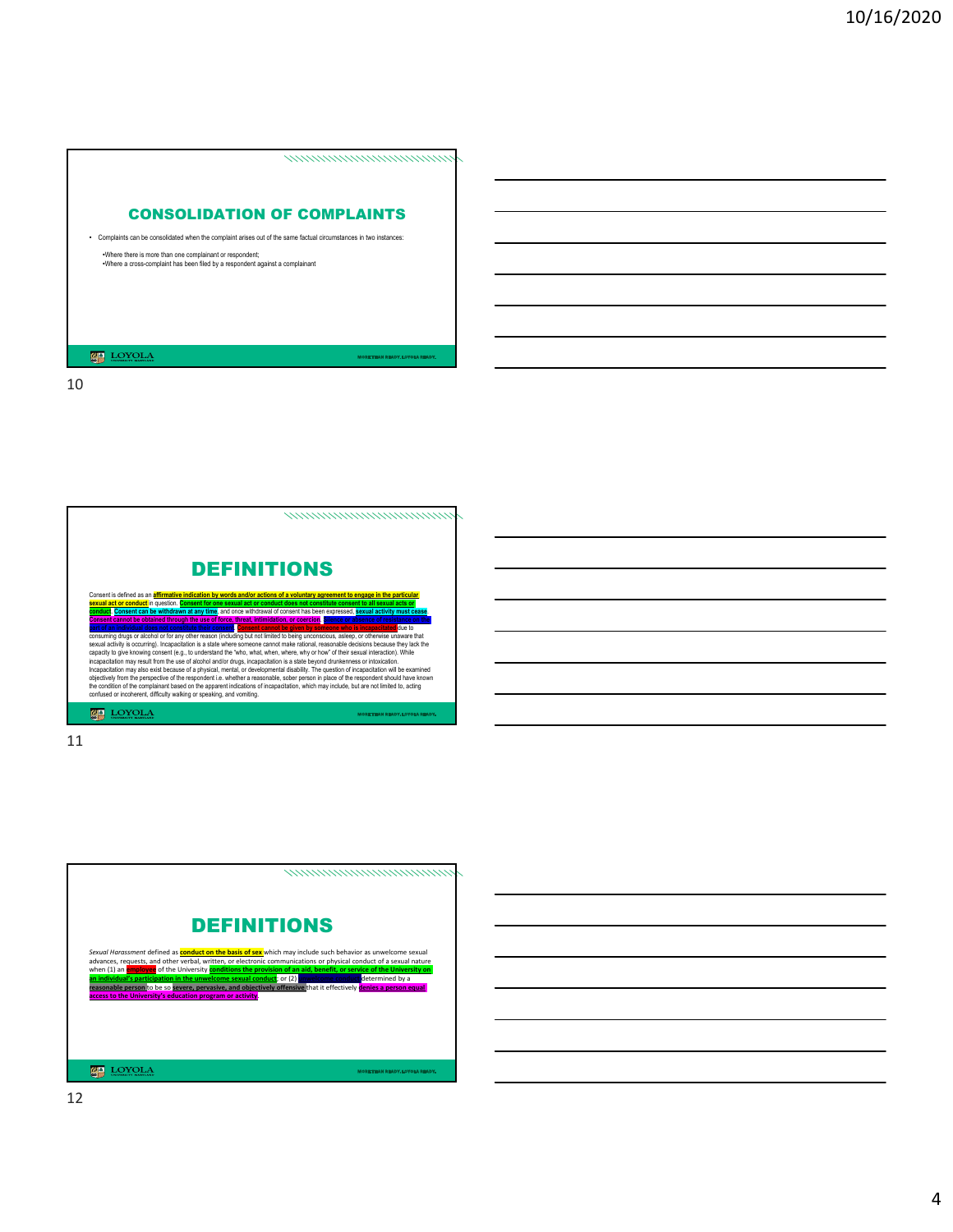





12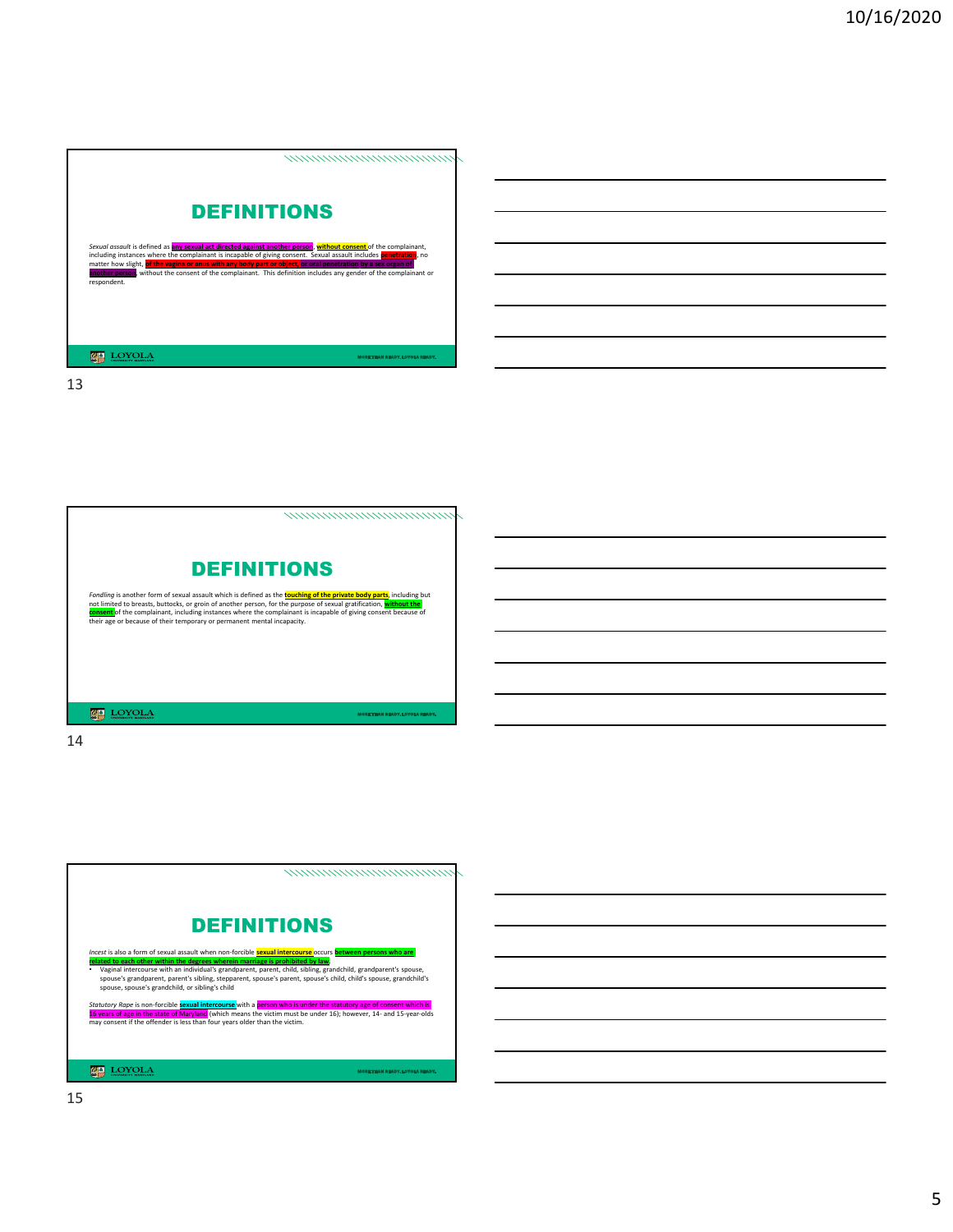![](_page_4_Picture_1.jpeg)

![](_page_4_Picture_3.jpeg)

![](_page_4_Picture_5.jpeg)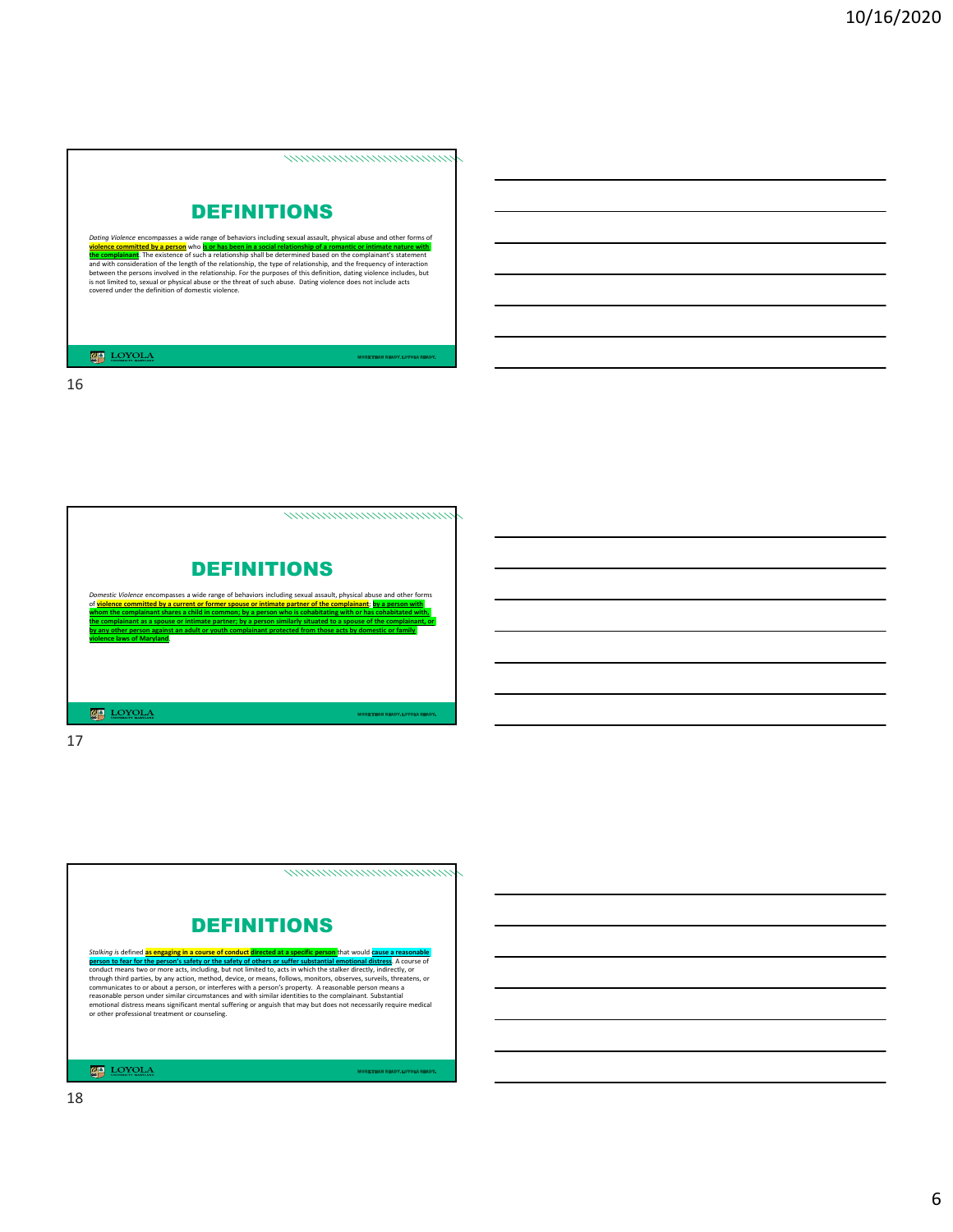![](_page_5_Picture_1.jpeg)

![](_page_5_Picture_3.jpeg)

![](_page_5_Picture_5.jpeg)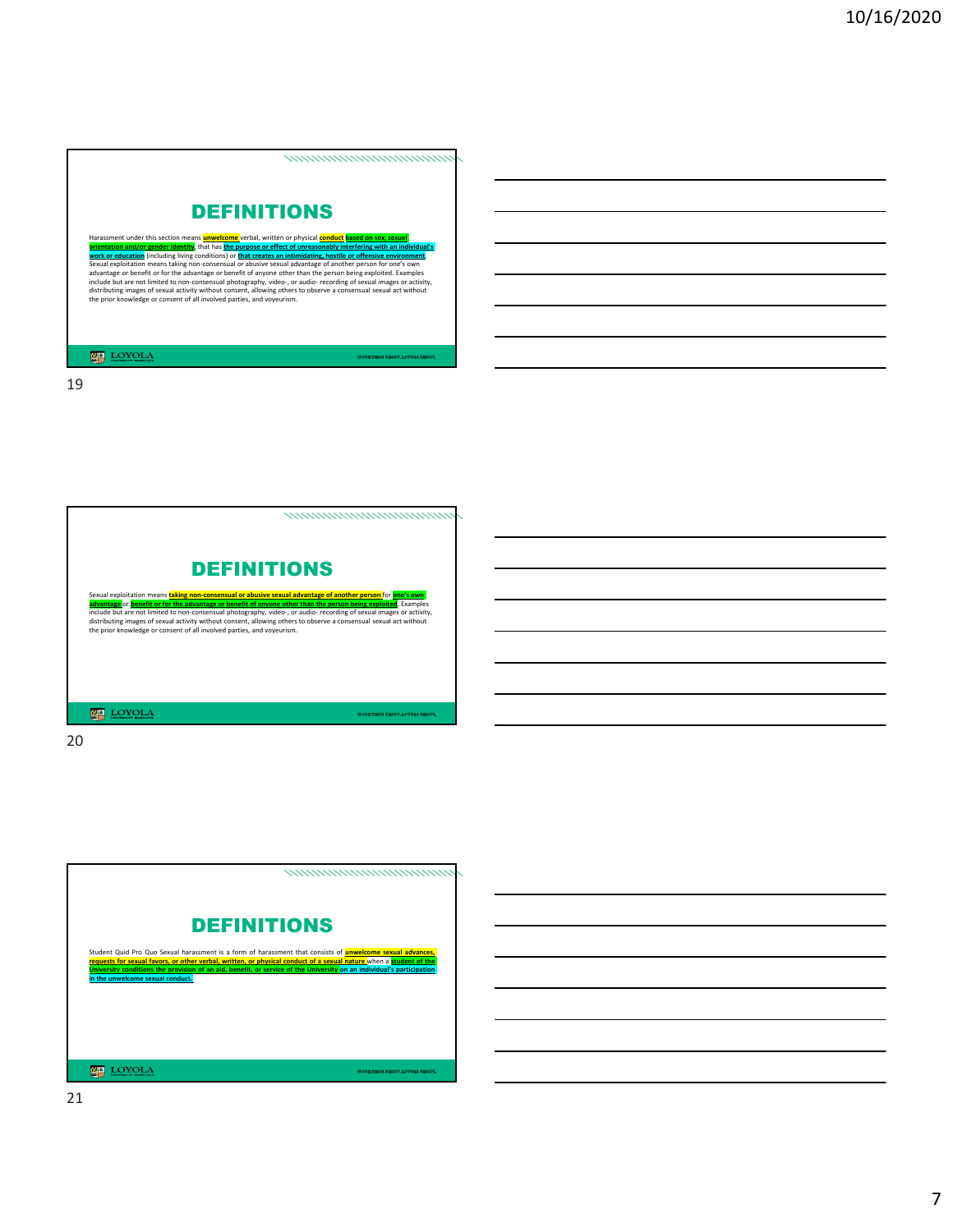![](_page_6_Picture_1.jpeg)

![](_page_6_Picture_3.jpeg)

20

![](_page_6_Picture_5.jpeg)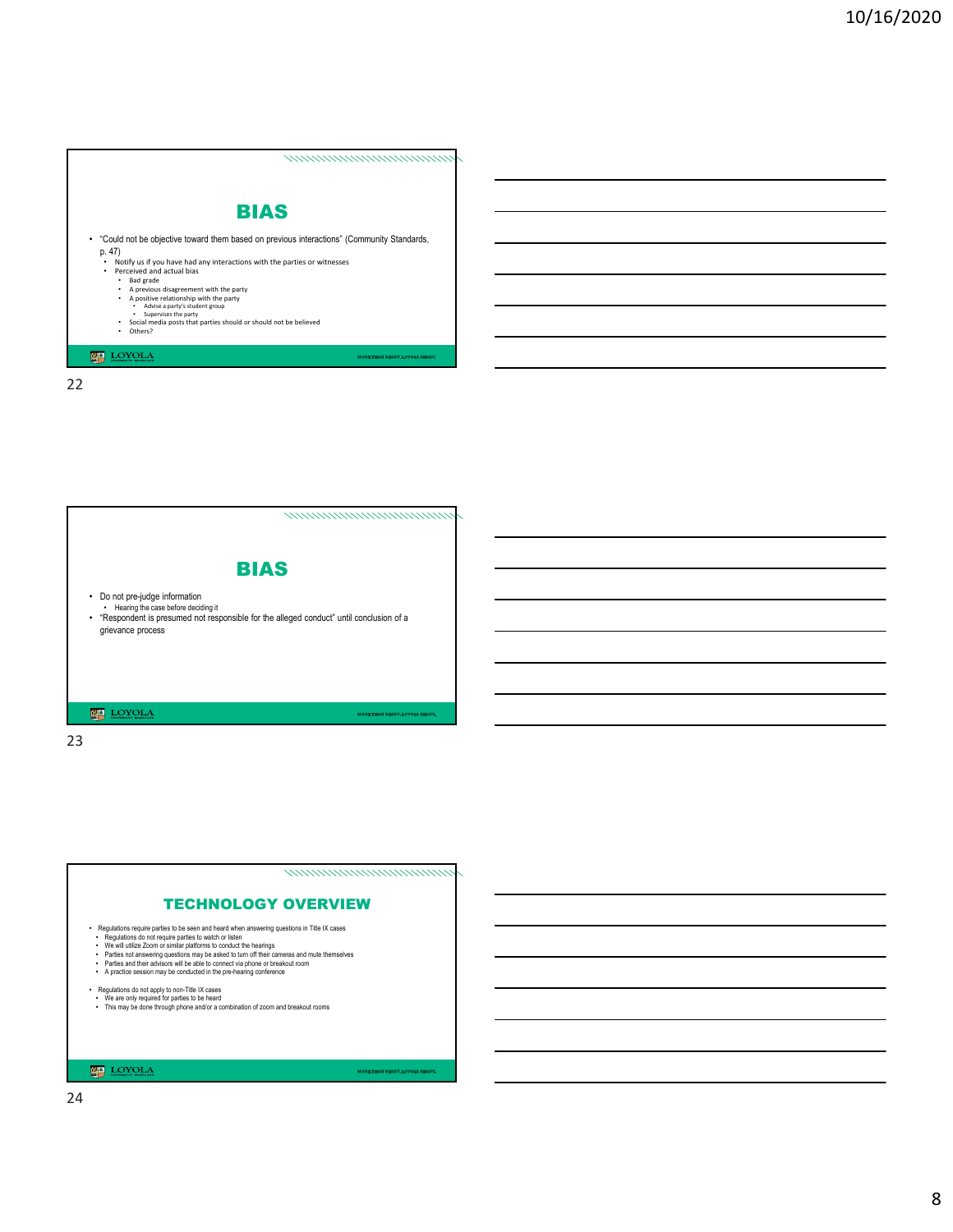,,,,,,,,,,,,,,,,,,,,,,,,,,,,,,,,

![](_page_7_Picture_2.jpeg)

- "Could not be objective toward them based on previous interactions" (Community Standards,
	- **p. 47)**<br>  $\bullet$  Notify us if you have had any interactions with the parties or witnesses<br>  $\bullet$  Perceived and actual bias<br>  $\bullet$  Read grade<br>  $\bullet$  A previous disagreement with the party<br>  $\bullet$  A positive relationship with the
		-
		-
		-
		-
		-

**LOYOLA** 

22

nomonomonomonomo BIAS • Do not pre-judge information • Hearing the case before deciding it • "Respondent is presumed not responsible for the alleged conduct" until conclusion of a grievance process 

23

nommanananananana

### TECHNOLOGY OVERVIEW

- 
- 
- 
- Fragulations require parties to be seen and heard when answering questions in Title IX cases<br>
Fragulations do not require parties to watch or listen in the anings<br>
The We will utilize Zoom or similar platforms to conduct t
- 
- 
- Regulations do not apply to non-Title IX cases<br>• We are only required for parties to be heard<br>• This may be done through phone and/or a combination of zoom and breakout rooms

#### **LOYOLA**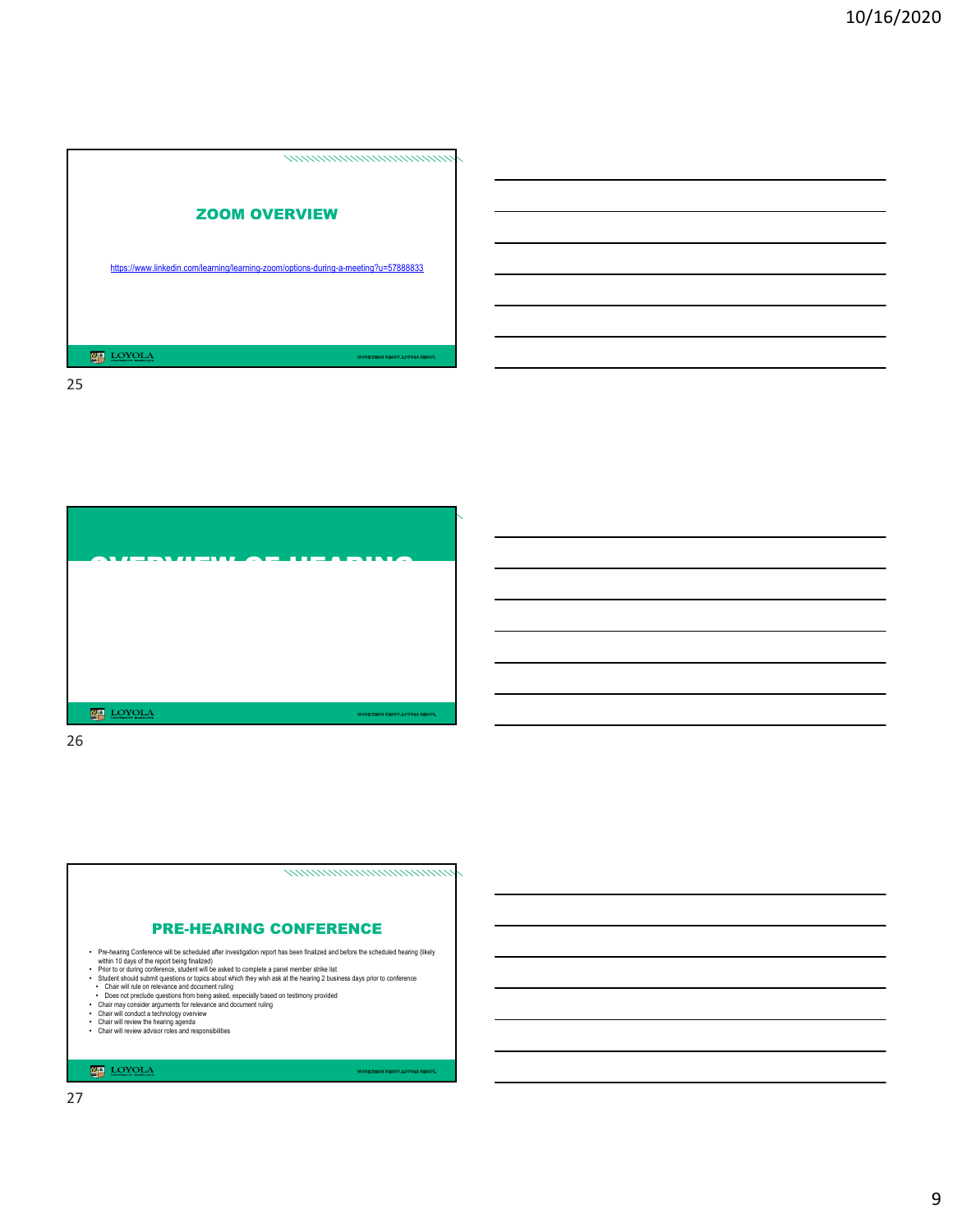![](_page_8_Picture_1.jpeg)

![](_page_8_Picture_3.jpeg)

26

![](_page_8_Figure_5.jpeg)

- 
- 

#### $\underbrace{\mathbb{Z}}_{\text{sym}} \ \operatorname{LOYOLA}$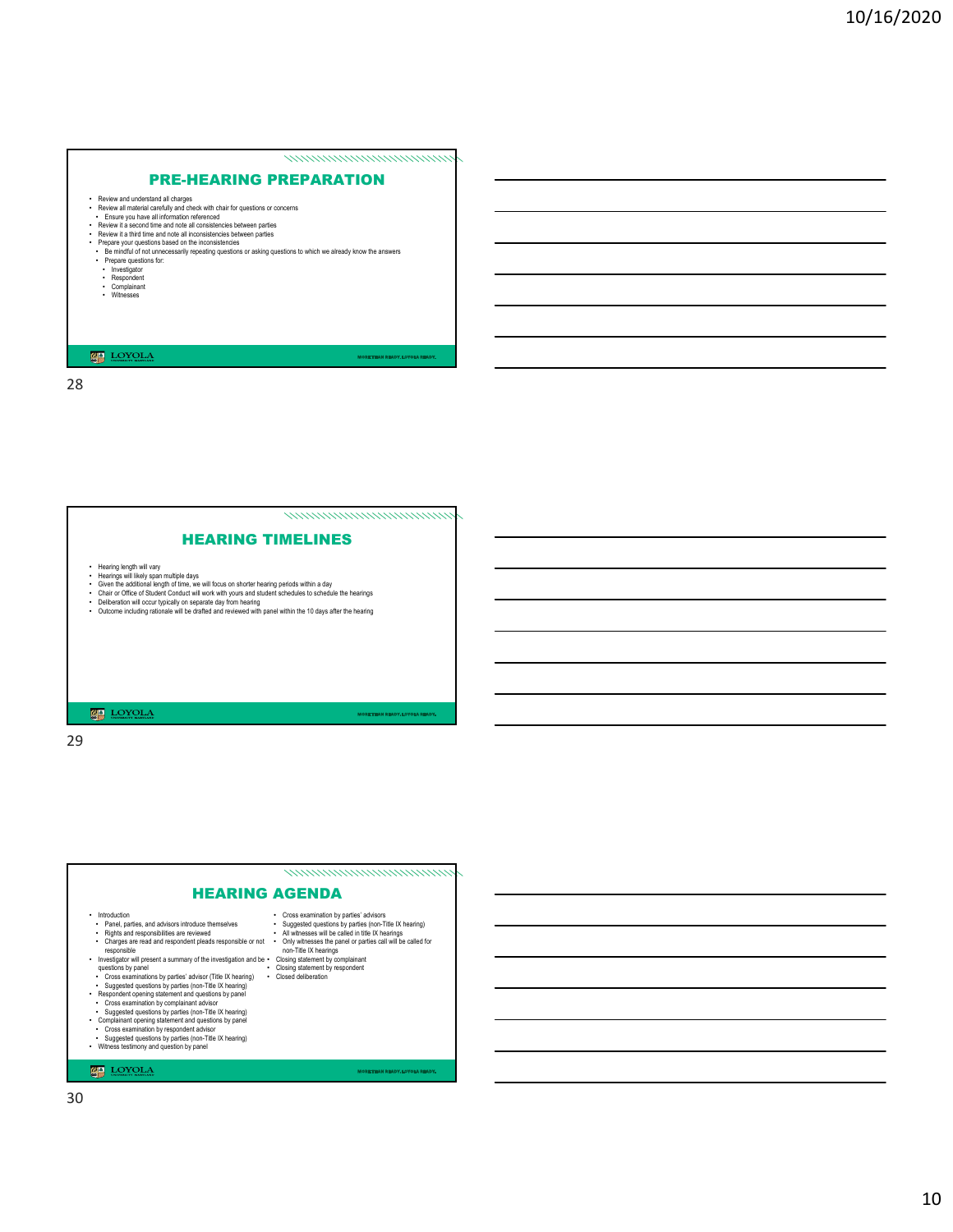# PRE-HEARING PREPARATION

namananananananana

- 
- 
- 
- 
- Review and understand all charges<br>
Review and material carefully and check with chair for questions or concerns<br>
The view all material carefully and check with chair for questions or concerns<br>
Review it a second time and n
- 
- 
- 
- 

#### LOYOLA

28

![](_page_9_Picture_13.jpeg)

29

# ,,,,,,,,,,,,,,,,,,,,,,,,,,,,,,,,, HEARING AGENDA - Indoducion<br>Charles, and advisors introduce themselves<br>- Renel, parties, and advisors introduce themselves<br>- Charlysa and responsibilities are reviewed<br>- Investigator will resear a summary of the investigation and be<br>- qu • Cross examination by parties' advisors<br>• Suggested questions by parties (non-Title IX hearing)<br>• All winessess will be called in title IX hearings<br>• Only winesses the panel or parties call will be called for<br>• Orising st

#### **LOYOLA**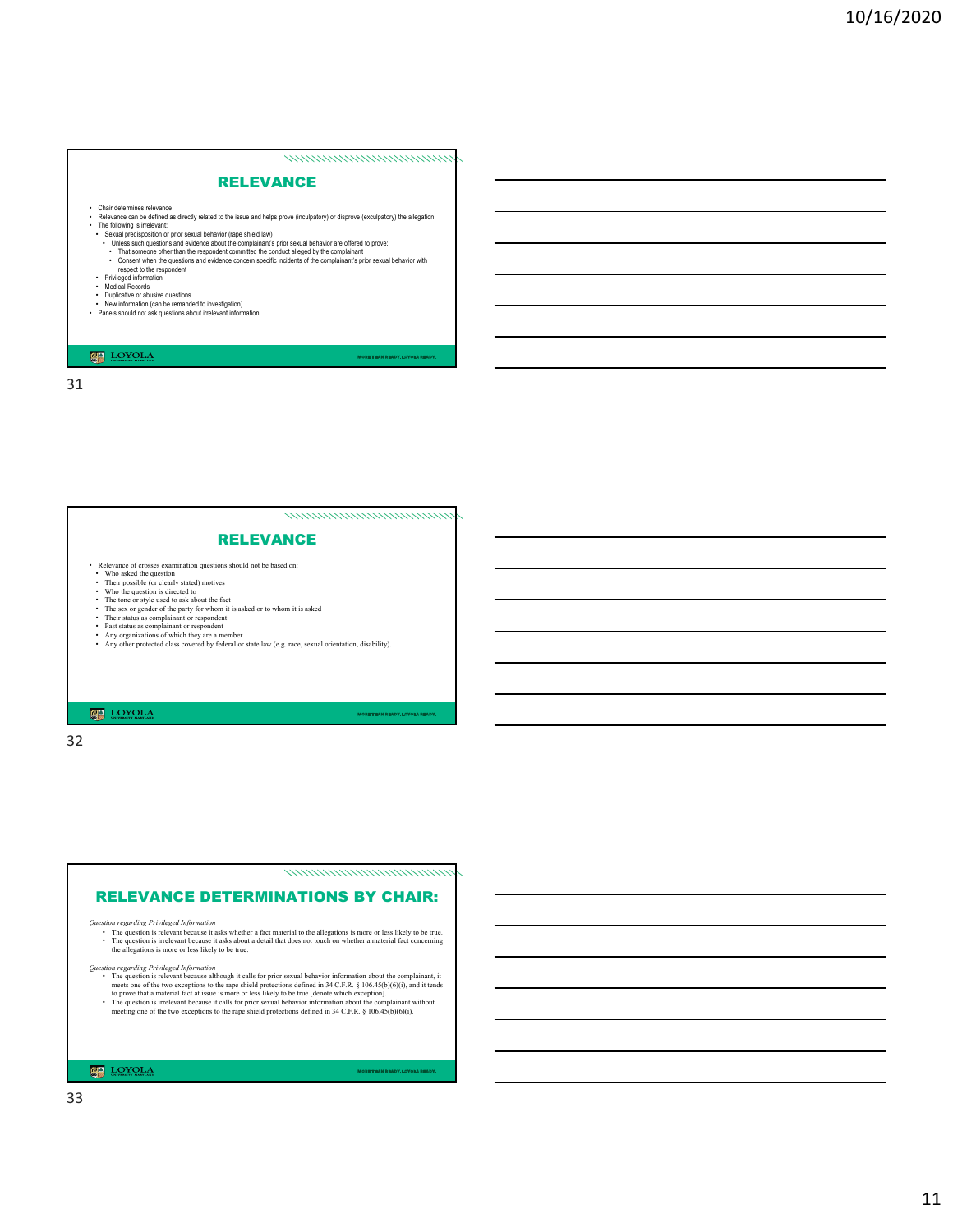#### namananananananana

# RELEVANCE

- 
- Chair determines relevance<br>
Relevance can be defined by related to the issue and helps prove (inculpatory) or disprove (exculpatory) the allegation<br>
The following is irrelevant.<br>
The following is irrelevant.<br>
The following
	-
	-
	-
- 
- 
- Privileged information<br>• Medical Records<br>• Duplicative or abusive questions<br>• New information (can be remanded to investigation)<br>• Panels should not ask questions about irrelevant information
- 

# $\fbox{$\begin{tabular}{|c|c|} \hline $\mathbf{Q}$ & \multicolumn{3}{|c|}{\textbf{LOYOL}} \\\hline \hline $\mathbf{Q}$ & \multicolumn{3}{|c|}{\textbf{LOYOL}} \\\hline \end{tabular}}$

31

namananananananana

# RELEVANCE

- 
- 
- 
- 
- 
- 
- 
- **Felowance of crosses comminion questions should not be based on:**<br> **Consection**<br> **Consection**<br>
Their possible (or clearly stated) motives<br>
Who the question is directed to<br>
The tone or style used to ask about the fact<br>
Th
- 

32

,,,,,,,,,,,,,,,,,,,,,,,,,,,,,,,,,

# RELEVANCE DETERMINATIONS BY CHAIR:

**Question regarding Privileged Information**<br>
• The question is relevant because it asks whether a fact material to the allegations is more or less likely to be true.<br>
• The question is irrelevant because it asks about a de

*Question regarding Privileged Information*

The question is relevant because although it calls for prior sexual behavior information about the complainant, it meets no of the two exceptions to the rape shiled protections defined in  $34 \text{ CFR}$ ,  $8 \text{ 166-8(5)/(6)(i)}$ ,

**MA** LOYOLA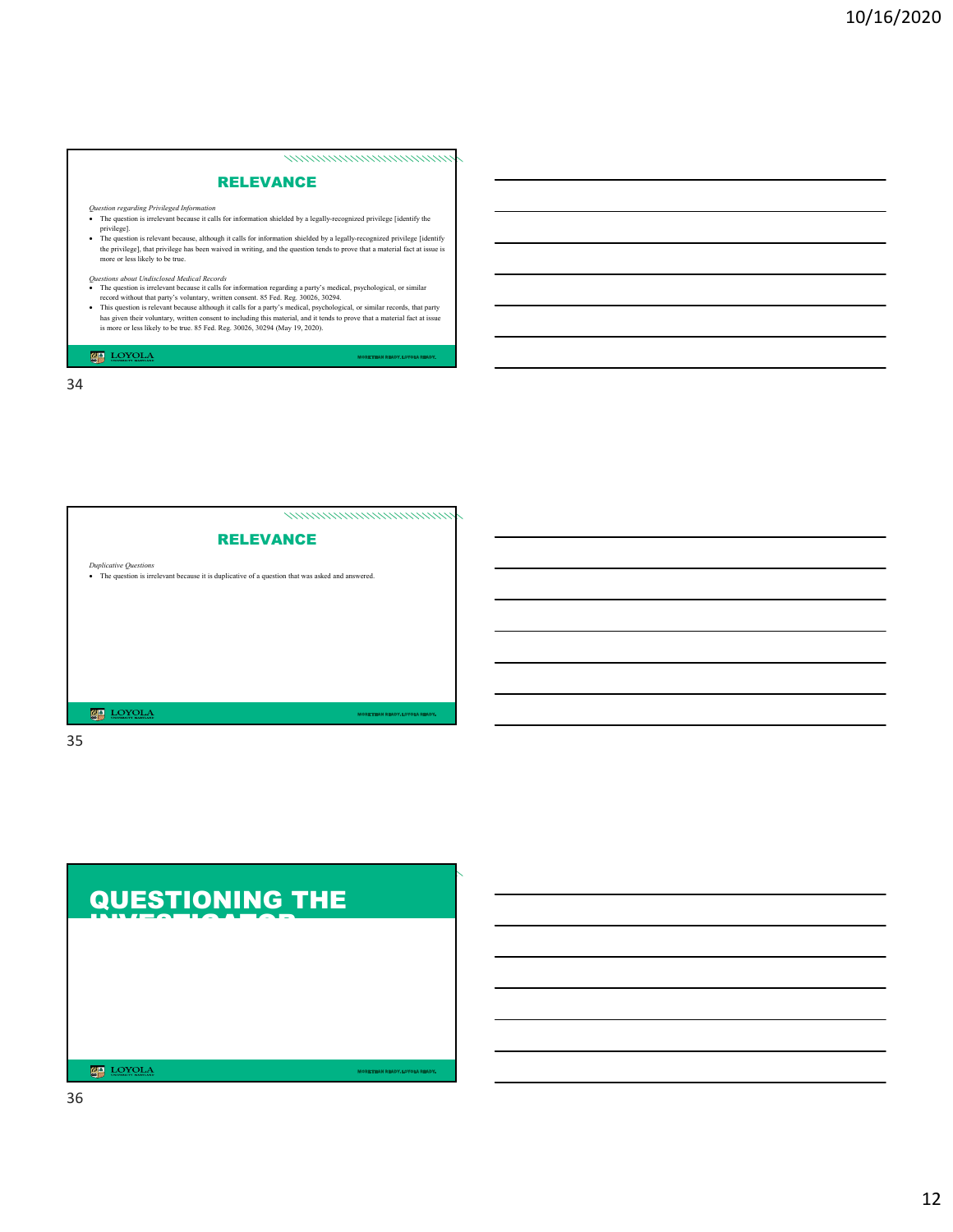#### ,,,,,,,,,,,,,,,,,,,,,,,,,,,,,,,,,,

# RELEVANCE

*Question regarding Privileged Information* The question is irrelevant because it calls for information shielded by a legally-recognized privilege [identify the

privilege].<br>• The question is relevant because, although it calls for information shielded by a legally-recognized privilege [identify the privilege], that privilege has been waived in writing, and the question tends to pr

- 
- Questions *about Undisclosed Medical Records*<br>
 The question is irrelevant because it calls for information regarding a party's medical, psychological, or similar<br>
 record without that party's voluntary, written consent

LOYOLA

34

,,,,,,,,,,,,,,,,,,,,,,,,,,,,,, **RELEVANCE** *Duplicative Questions* • The question is irrelevant because it is duplicative of a question that was asked and answered.  $\begin{tabular}{|c|c|c|c|} \hline \hline \hline \textbf{1D} & LOYOLA \\ \hline \end{tabular}$ 

![](_page_11_Figure_11.jpeg)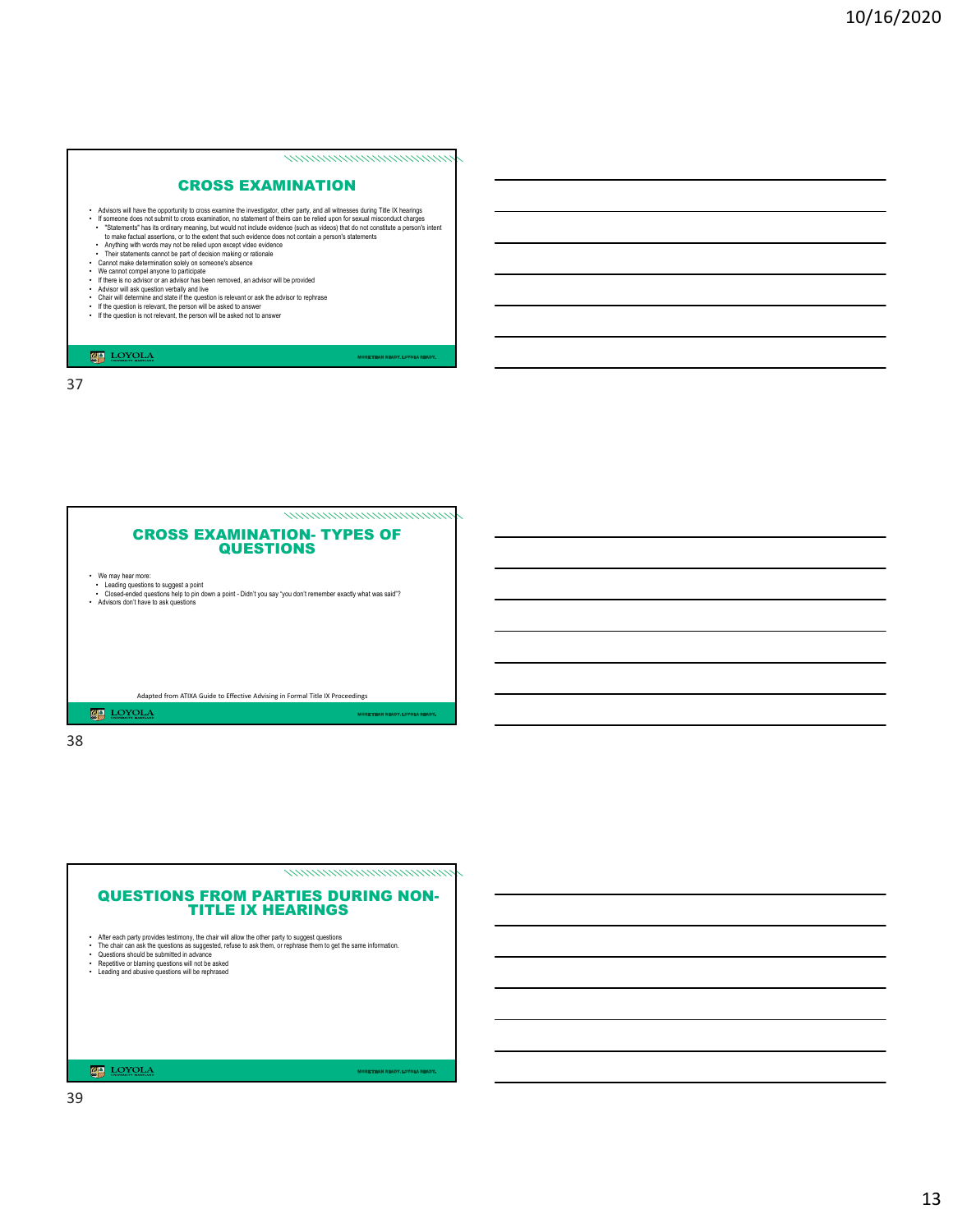#### namananananananana

# CROSS EXAMINATION

- A divisors will have the opportunity to roos examination, no statement of theirs can be relied upon for sexual misconduct charges<br>
If someone does not submit to cross examination, no statement of theirs can be relied upon
	-
- 
- 
- 
- 
- Chair will determine and state if the question is relevant or ask the advisor to rephrase<br>• If the question is relevant, the person will be asked to answer<br>• If the question is not relevant, the person will be asked not
- 

#### **LOYOLA**

37

![](_page_12_Picture_13.jpeg)

![](_page_12_Picture_15.jpeg)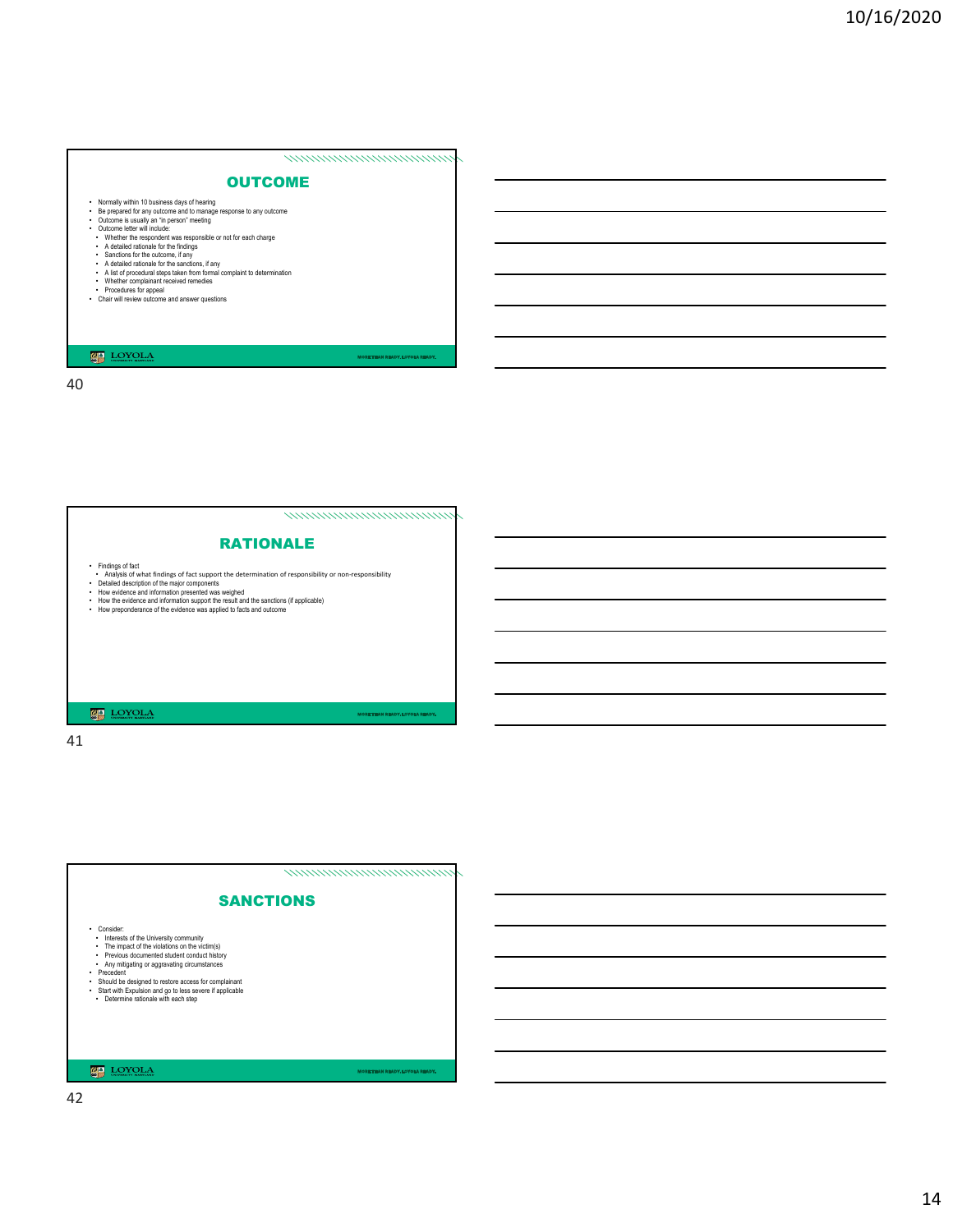# ,,,,,,,,,,,,,,,,,,,,,,,,,,,,,,,

#### **OUTCOME**

- 
- Normally within 10 business days of hearing<br>• Be prepared for any outcome and to manage response to any outcome<br>• Outcome is usually an "in person" meeting<br>• Outcome letter will include:
- 
- 
- 
- 
- Whether the respondent was responsible or not for each charge<br>• A detailed rationals for the finding<br>• Sanctions for the outcome, if any<br>• A detailed rationals for the sanctions, if any<br>• A list of procedural steps taken
- 
- 

#### **LOYOLA**

40

#### 

# RATIONALE

- 
- Findings of fact<br>• Analysis of fact support the determination of responsibility or non-responsibility<br>• Detailed description of the major components<br>• How evidence and information presented was weighed<br>• How the evidence
- 
- 

41

![](_page_13_Figure_22.jpeg)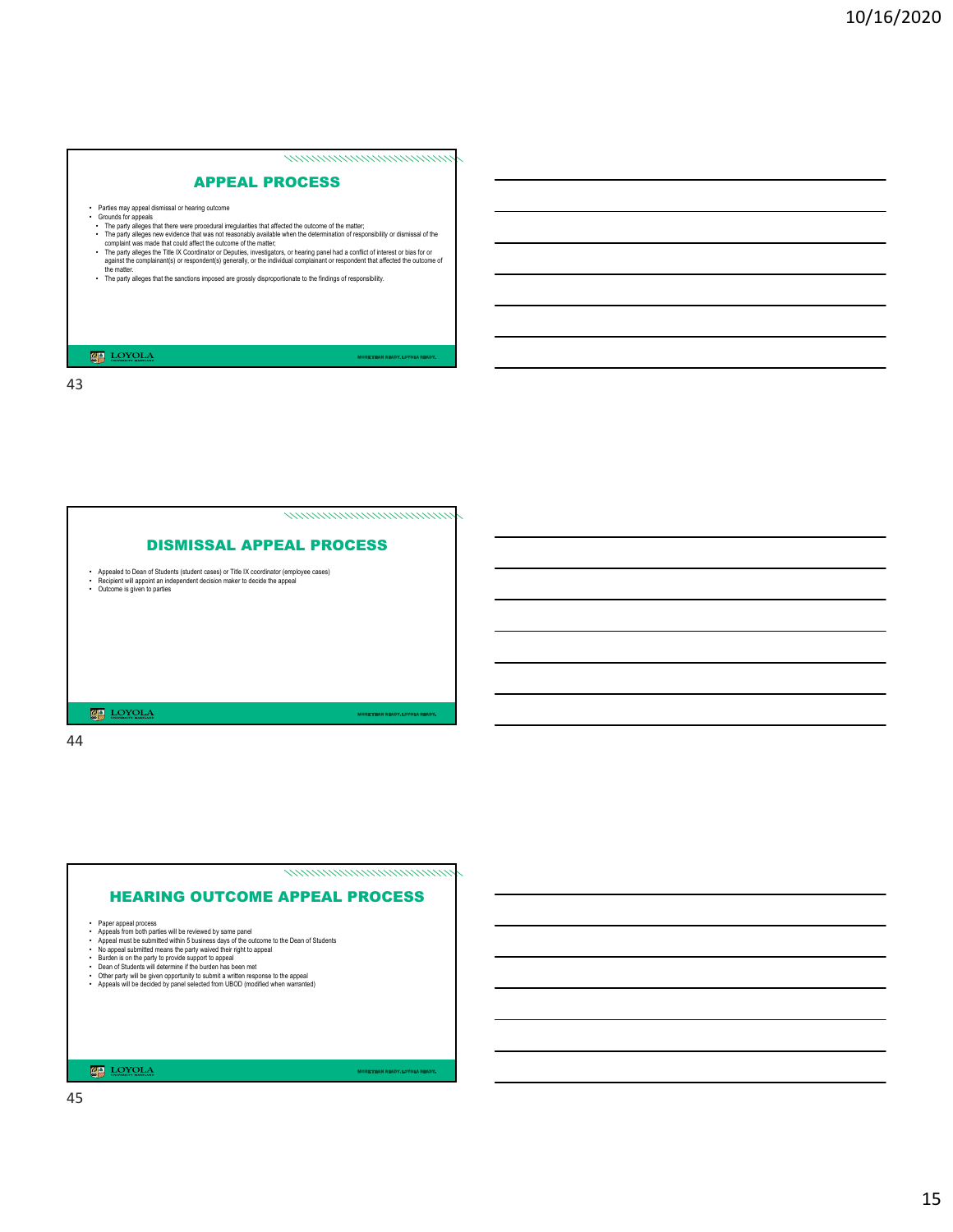#### nommanananananana

# APPEAL PROCESS

- 
- 
- 
- 
- Parties may appeal dismissal or hearing outcome<br>
 Grounds for appeals that there were procedural irregularities that affected the outcome of the matter;<br>
 The party alleges new evidence that was not reasonably availabl
- The party alleges that the sanctions imposed are grossly disproportionate to the findings of responsibility.

#### **LOYOLA**

43

![](_page_14_Picture_11.jpeg)

44

![](_page_14_Figure_13.jpeg)